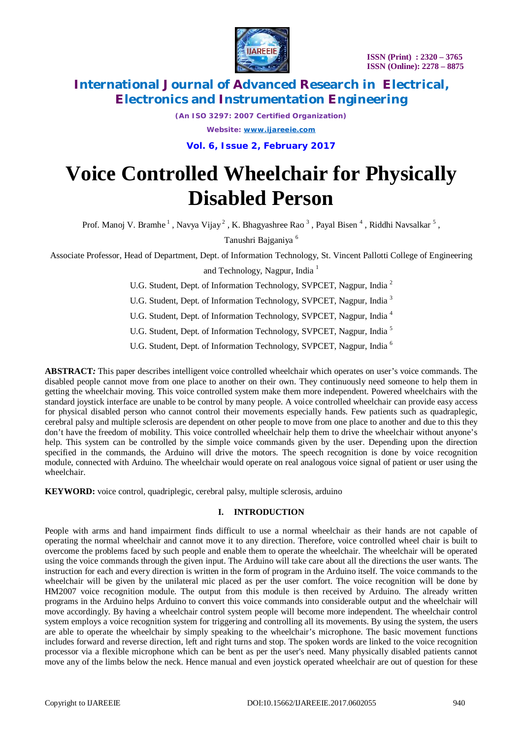

*(An ISO 3297: 2007 Certified Organization)*

*Website: [www.ijareeie.com](http://www.ijareeie.com)*

**Vol. 6, Issue 2, February 2017**

# **Voice Controlled Wheelchair for Physically Disabled Person**

Prof. Manoj V. Bramhe<sup>1</sup>, Navya Vijay<sup>2</sup>, K. Bhagyashree Rao<sup>3</sup>, Payal Bisen<sup>4</sup>, Riddhi Navsalkar<sup>5</sup>,

Tanushri Bajganiya <sup>6</sup>

Associate Professor, Head of Department, Dept. of Information Technology, St. Vincent Pallotti College of Engineering and Technology, Nagpur, India <sup>1</sup>

U.G. Student, Dept. of Information Technology, SVPCET, Nagpur, India <sup>2</sup>

U.G. Student, Dept. of Information Technology, SVPCET, Nagpur, India<sup>3</sup>

U.G. Student, Dept. of Information Technology, SVPCET, Nagpur, India <sup>4</sup>

U.G. Student, Dept. of Information Technology, SVPCET, Nagpur, India <sup>5</sup>

U.G. Student, Dept. of Information Technology, SVPCET, Nagpur, India<sup>6</sup>

**ABSTRACT***:* This paper describes intelligent voice controlled wheelchair which operates on user's voice commands. The disabled people cannot move from one place to another on their own. They continuously need someone to help them in getting the wheelchair moving. This voice controlled system make them more independent. Powered wheelchairs with the standard joystick interface are unable to be control by many people. A voice controlled wheelchair can provide easy access for physical disabled person who cannot control their movements especially hands*.* Few patients such as quadraplegic, cerebral palsy and multiple sclerosis are dependent on other people to move from one place to another and due to this they don't have the freedom of mobility. This voice controlled wheelchair help them to drive the wheelchair without anyone's help. This system can be controlled by the simple voice commands given by the user. Depending upon the direction specified in the commands, the Arduino will drive the motors. The speech recognition is done by voice recognition module, connected with Arduino. The wheelchair would operate on real analogous voice signal of patient or user using the wheelchair.

**KEYWORD:** voice control, quadriplegic, cerebral palsy, multiple sclerosis, arduino

### **I. INTRODUCTION**

People with arms and hand impairment finds difficult to use a normal wheelchair as their hands are not capable of operating the normal wheelchair and cannot move it to any direction. Therefore, voice controlled wheel chair is built to overcome the problems faced by such people and enable them to operate the wheelchair. The wheelchair will be operated using the voice commands through the given input. The Arduino will take care about all the directions the user wants. The instruction for each and every direction is written in the form of program in the Arduino itself. The voice commands to the wheelchair will be given by the unilateral mic placed as per the user comfort. The voice recognition will be done by HM2007 voice recognition module. The output from this module is then received by Arduino. The already written programs in the Arduino helps Arduino to convert this voice commands into considerable output and the wheelchair will move accordingly. By having a wheelchair control system people will become more independent. The wheelchair control system employs a voice recognition system for triggering and controlling all its movements. By using the system, the users are able to operate the wheelchair by simply speaking to the wheelchair's microphone. The basic movement functions includes forward and reverse direction, left and right turns and stop. The spoken words are linked to the voice recognition processor via a flexible microphone which can be bent as per the user's need. Many physically disabled patients cannot move any of the limbs below the neck. Hence manual and even joystick operated wheelchair are out of question for these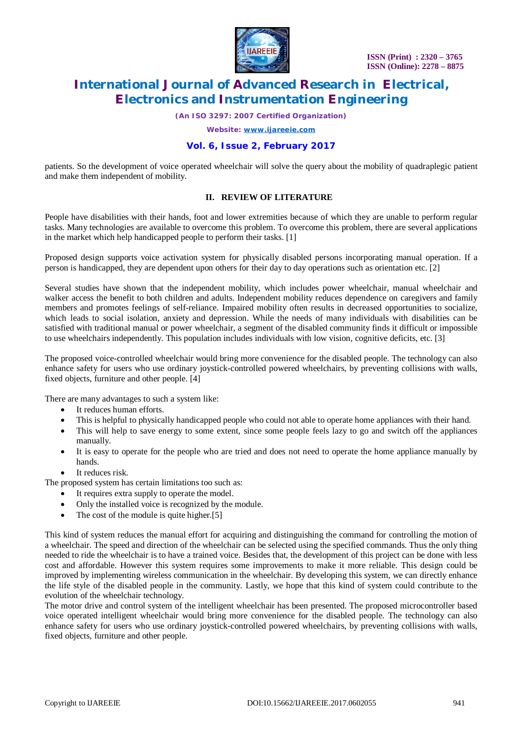

*(An ISO 3297: 2007 Certified Organization)*

*Website: [www.ijareeie.com](http://www.ijareeie.com)*

### **Vol. 6, Issue 2, February 2017**

patients. So the development of voice operated wheelchair will solve the query about the mobility of quadraplegic patient and make them independent of mobility.

#### **II. REVIEW OF LITERATURE**

People have disabilities with their hands, foot and lower extremities because of which they are unable to perform regular tasks. Many technologies are available to overcome this problem. To overcome this problem, there are several applications in the market which help handicapped people to perform their tasks. [1]

Proposed design supports voice activation system for physically disabled persons incorporating manual operation. If a person is handicapped, they are dependent upon others for their day to day operations such as orientation etc. [2]

Several studies have shown that the independent mobility, which includes power wheelchair, manual wheelchair and walker access the benefit to both children and adults. Independent mobility reduces dependence on caregivers and family members and promotes feelings of self-reliance. Impaired mobility often results in decreased opportunities to socialize, which leads to social isolation, anxiety and depression. While the needs of many individuals with disabilities can be satisfied with traditional manual or power wheelchair, a segment of the disabled community finds it difficult or impossible to use wheelchairs independently. This population includes individuals with low vision, cognitive deficits, etc. [3]

The proposed voice-controlled wheelchair would bring more convenience for the disabled people. The technology can also enhance safety for users who use ordinary joystick-controlled powered wheelchairs, by preventing collisions with walls, fixed objects, furniture and other people. [4]

There are many advantages to such a system like:

- It reduces human efforts.
- This is helpful to physically handicapped people who could not able to operate home appliances with their hand.
- This will help to save energy to some extent, since some people feels lazy to go and switch off the appliances manually.
- It is easy to operate for the people who are tried and does not need to operate the home appliance manually by hands.
- It reduces risk.

The proposed system has certain limitations too such as:

- It requires extra supply to operate the model.
- Only the installed voice is recognized by the module.
- The cost of the module is quite higher.[5]

This kind of system reduces the manual effort for acquiring and distinguishing the command for controlling the motion of a wheelchair. The speed and direction of the wheelchair can be selected using the specified commands. Thus the only thing needed to ride the wheelchair is to have a trained voice. Besides that, the development of this project can be done with less cost and affordable. However this system requires some improvements to make it more reliable. This design could be improved by implementing wireless communication in the wheelchair. By developing this system, we can directly enhance the life style of the disabled people in the community. Lastly, we hope that this kind of system could contribute to the evolution of the wheelchair technology.

The motor drive and control system of the intelligent wheelchair has been presented. The proposed microcontroller based voice operated intelligent wheelchair would bring more convenience for the disabled people. The technology can also enhance safety for users who use ordinary joystick-controlled powered wheelchairs, by preventing collisions with walls, fixed objects, furniture and other people.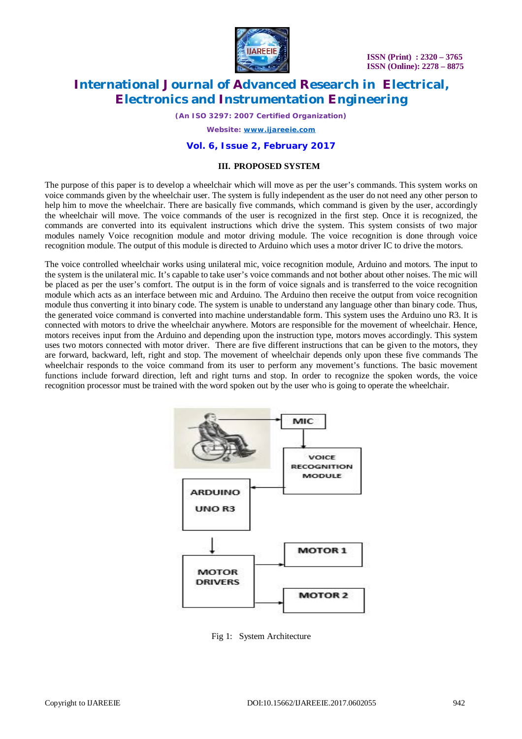

 **ISSN (Print) : 2320 – 3765 ISSN (Online): 2278 – 8875**

# **International Journal of Advanced Research in Electrical, Electronics and Instrumentation Engineering**

*(An ISO 3297: 2007 Certified Organization)*

*Website: [www.ijareeie.com](http://www.ijareeie.com)*

#### **Vol. 6, Issue 2, February 2017**

#### **III. PROPOSED SYSTEM**

The purpose of this paper is to develop a wheelchair which will move as per the user's commands. This system works on voice commands given by the wheelchair user. The system is fully independent as the user do not need any other person to help him to move the wheelchair. There are basically five commands, which command is given by the user, accordingly the wheelchair will move. The voice commands of the user is recognized in the first step. Once it is recognized, the commands are converted into its equivalent instructions which drive the system. This system consists of two major modules namely Voice recognition module and motor driving module. The voice recognition is done through voice recognition module. The output of this module is directed to Arduino which uses a motor driver IC to drive the motors.

The voice controlled wheelchair works using unilateral mic, voice recognition module, Arduino and motors. The input to the system is the unilateral mic. It's capable to take user's voice commands and not bother about other noises. The mic will be placed as per the user's comfort. The output is in the form of voice signals and is transferred to the voice recognition module which acts as an interface between mic and Arduino. The Arduino then receive the output from voice recognition module thus converting it into binary code. The system is unable to understand any language other than binary code. Thus, the generated voice command is converted into machine understandable form. This system uses the Arduino uno R3. It is connected with motors to drive the wheelchair anywhere. Motors are responsible for the movement of wheelchair. Hence, motors receives input from the Arduino and depending upon the instruction type, motors moves accordingly. This system uses two motors connected with motor driver. There are five different instructions that can be given to the motors, they are forward, backward, left, right and stop. The movement of wheelchair depends only upon these five commands The wheelchair responds to the voice command from its user to perform any movement's functions. The basic movement functions include forward direction, left and right turns and stop. In order to recognize the spoken words, the voice recognition processor must be trained with the word spoken out by the user who is going to operate the wheelchair.



Fig 1: System Architecture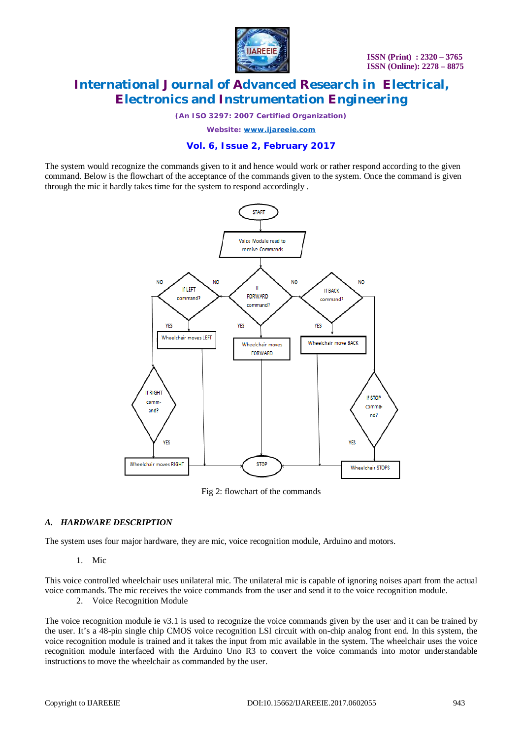

*(An ISO 3297: 2007 Certified Organization)*

*Website: [www.ijareeie.com](http://www.ijareeie.com)*

### **Vol. 6, Issue 2, February 2017**

The system would recognize the commands given to it and hence would work or rather respond according to the given command. Below is the flowchart of the acceptance of the commands given to the system. Once the command is given through the mic it hardly takes time for the system to respond accordingly .



Fig 2: flowchart of the commands

### *A. HARDWARE DESCRIPTION*

The system uses four major hardware, they are mic, voice recognition module, Arduino and motors.

1. Mic

This voice controlled wheelchair uses unilateral mic. The unilateral mic is capable of ignoring noises apart from the actual voice commands. The mic receives the voice commands from the user and send it to the voice recognition module.

2. Voice Recognition Module

The voice recognition module ie v3.1 is used to recognize the voice commands given by the user and it can be trained by the user. It's a 48-pin single chip CMOS voice recognition LSI circuit with on-chip analog front end. In this system, the voice recognition module is trained and it takes the input from mic available in the system. The wheelchair uses the voice recognition module interfaced with the Arduino Uno R3 to convert the voice commands into motor understandable instructions to move the wheelchair as commanded by the user.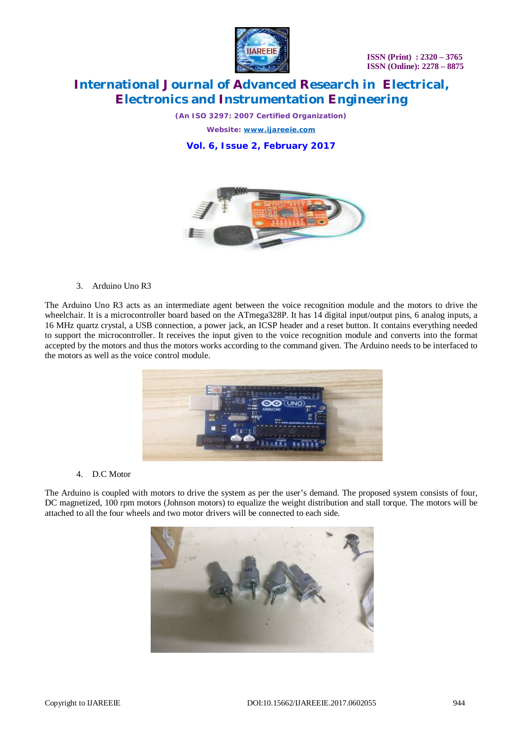



*(An ISO 3297: 2007 Certified Organization)*

*Website: [www.ijareeie.com](http://www.ijareeie.com)*

**Vol. 6, Issue 2, February 2017**



3. Arduino Uno R3

The Arduino Uno R3 acts as an intermediate agent between the voice recognition module and the motors to drive the wheelchair. It is a microcontroller board based on the ATmega328P. It has 14 digital input/output pins, 6 analog inputs, a 16 MHz quartz crystal, a USB connection, a power jack, an ICSP header and a reset button. It contains everything needed to support the microcontroller. It receives the input given to the voice recognition module and converts into the format accepted by the motors and thus the motors works according to the command given. The Arduino needs to be interfaced to the motors as well as the voice control module.



#### 4. D.C Motor

The Arduino is coupled with motors to drive the system as per the user's demand. The proposed system consists of four, DC magnetized, 100 rpm motors (Johnson motors) to equalize the weight distribution and stall torque. The motors will be attached to all the four wheels and two motor drivers will be connected to each side.

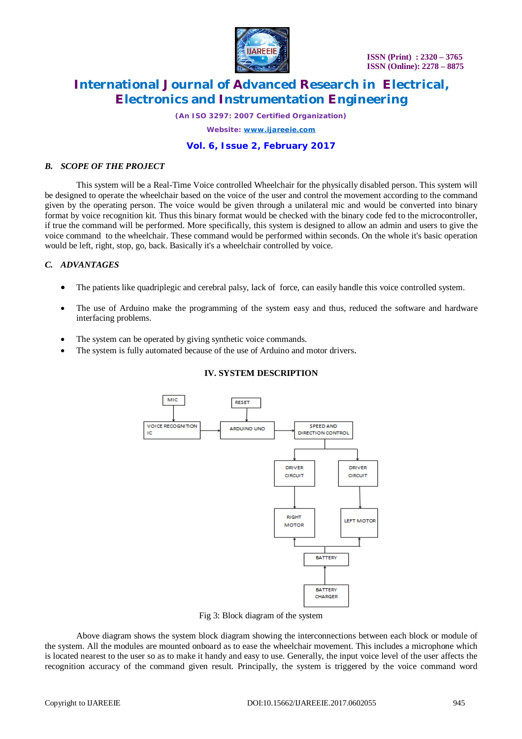

 **ISSN (Print) : 2320 – 3765 ISSN (Online): 2278 – 8875**

# **International Journal of Advanced Research in Electrical, Electronics and Instrumentation Engineering**

*(An ISO 3297: 2007 Certified Organization)*

*Website: [www.ijareeie.com](http://www.ijareeie.com)*

### **Vol. 6, Issue 2, February 2017**

#### *B. SCOPE OF THE PROJECT*

 This system will be a Real-Time Voice controlled Wheelchair for the physically disabled person. This system will be designed to operate the wheelchair based on the voice of the user and control the movement according to the command given by the operating person. The voice would be given through a unilateral mic and would be converted into binary format by voice recognition kit. Thus this binary format would be checked with the binary code fed to the microcontroller, if true the command will be performed. More specifically, this system is designed to allow an admin and users to give the voice command to the wheelchair. These command would be performed within seconds. On the whole it's basic operation would be left, right, stop, go, back. Basically it's a wheelchair controlled by voice.

### *C. ADVANTAGES*

- The patients like quadriplegic and cerebral palsy, lack of force, can easily handle this voice controlled system.
- The use of Arduino make the programming of the system easy and thus, reduced the software and hardware interfacing problems.
- The system can be operated by giving synthetic voice commands.
- The system is fully automated because of the use of Arduino and motor drivers.

### **IV. SYSTEM DESCRIPTION**



Fig 3: Block diagram of the system

Above diagram shows the system block diagram showing the interconnections between each block or module of the system. All the modules are mounted onboard as to ease the wheelchair movement. This includes a microphone which is located nearest to the user so as to make it handy and easy to use. Generally, the input voice level of the user affects the recognition accuracy of the command given result. Principally, the system is triggered by the voice command word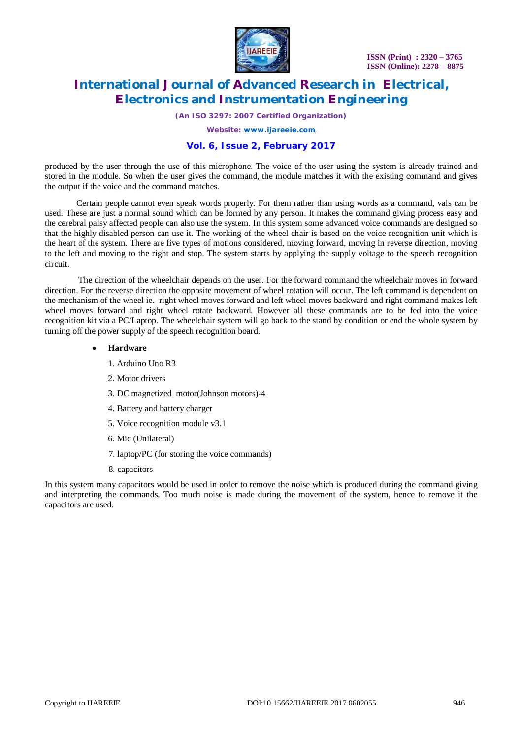

*(An ISO 3297: 2007 Certified Organization)*

*Website: [www.ijareeie.com](http://www.ijareeie.com)*

### **Vol. 6, Issue 2, February 2017**

produced by the user through the use of this microphone. The voice of the user using the system is already trained and stored in the module. So when the user gives the command, the module matches it with the existing command and gives the output if the voice and the command matches.

Certain people cannot even speak words properly. For them rather than using words as a command, vals can be used. These are just a normal sound which can be formed by any person. It makes the command giving process easy and the cerebral palsy affected people can also use the system. In this system some advanced voice commands are designed so that the highly disabled person can use it. The working of the wheel chair is based on the voice recognition unit which is the heart of the system. There are five types of motions considered, moving forward, moving in reverse direction, moving to the left and moving to the right and stop. The system starts by applying the supply voltage to the speech recognition circuit.

The direction of the wheelchair depends on the user. For the forward command the wheelchair moves in forward direction. For the reverse direction the opposite movement of wheel rotation will occur. The left command is dependent on the mechanism of the wheel ie. right wheel moves forward and left wheel moves backward and right command makes left wheel moves forward and right wheel rotate backward. However all these commands are to be fed into the voice recognition kit via a PC/Laptop. The wheelchair system will go back to the stand by condition or end the whole system by turning off the power supply of the speech recognition board.

#### **Hardware**

- 1. Arduino Uno R3
- 2. Motor drivers
- 3. DC magnetized motor(Johnson motors)-4
- 4. Battery and battery charger
- 5. Voice recognition module v3.1
- 6. Mic (Unilateral)
- 7. laptop/PC (for storing the voice commands)
- 8. capacitors

In this system many capacitors would be used in order to remove the noise which is produced during the command giving and interpreting the commands. Too much noise is made during the movement of the system, hence to remove it the capacitors are used.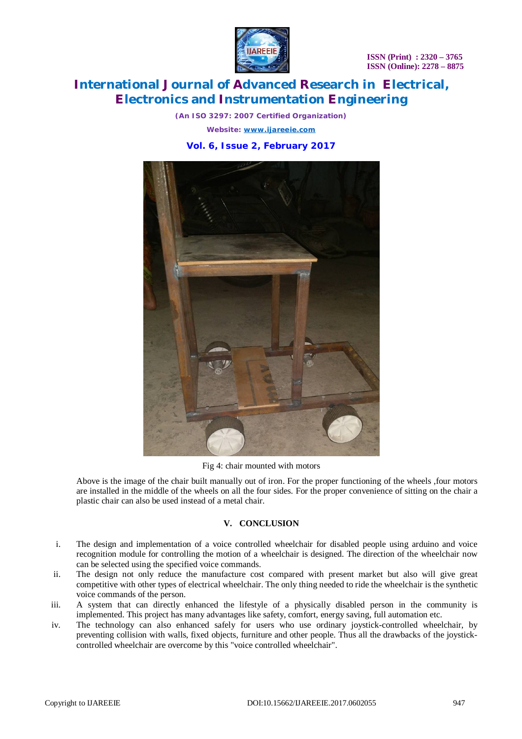**ISSN (Print) : 2320 – 3765 ISSN (Online): 2278 – 8875**



### **International Journal of Advanced Research in Electrical, Electronics and Instrumentation Engineering**

*(An ISO 3297: 2007 Certified Organization) Website: [www.ijareeie.com](http://www.ijareeie.com)* **Vol. 6, Issue 2, February 2017**



Fig 4: chair mounted with motors

Above is the image of the chair built manually out of iron. For the proper functioning of the wheels ,four motors are installed in the middle of the wheels on all the four sides. For the proper convenience of sitting on the chair a plastic chair can also be used instead of a metal chair.

### **V. CONCLUSION**

- i. The design and implementation of a voice controlled wheelchair for disabled people using arduino and voice recognition module for controlling the motion of a wheelchair is designed. The direction of the wheelchair now can be selected using the specified voice commands.
- ii. The design not only reduce the manufacture cost compared with present market but also will give great competitive with other types of electrical wheelchair. The only thing needed to ride the wheelchair is the synthetic voice commands of the person.
- iii. A system that can directly enhanced the lifestyle of a physically disabled person in the community is implemented. This project has many advantages like safety, comfort, energy saving, full automation etc.
- iv. The technology can also enhanced safely for users who use ordinary joystick-controlled wheelchair, by preventing collision with walls, fixed objects, furniture and other people. Thus all the drawbacks of the joystickcontrolled wheelchair are overcome by this "voice controlled wheelchair".